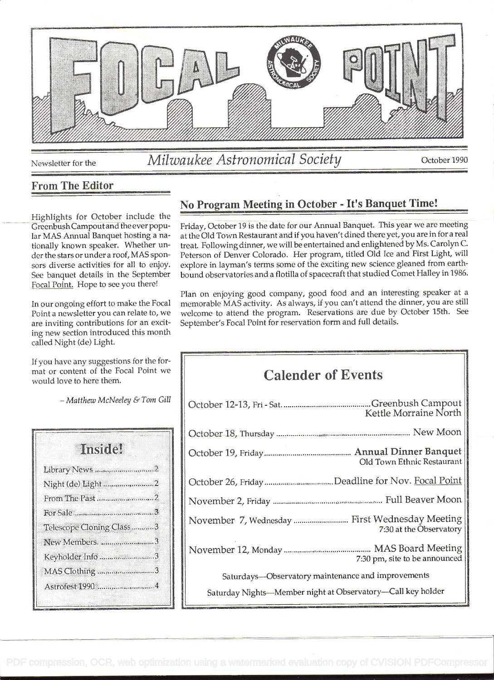

# Newsletter for the *Milwaukee Astronomical Society* October 1990

### From The Editor

Highlights for October include the Greenbush Campout and the ever popular MAS Annual Banquet hosting a nationally known speaker. Whether under the stars or under a roof, MAS sponsors diverse activities for all to enjoy. See banquet details in the September Focal Point. Hope to see you there!

In our ongoing effort to make the Focal Point a newsletter you can relate to, we are inviting contributions for an exciting new section introduced this month called Night (de) Light.

If you have any suggestions for the format or content of the Focal Point we would love to here them.

- Matthew McNeeley & Tom Gill

| <b>Instite!</b>          |  |
|--------------------------|--|
| Library News 2           |  |
|                          |  |
| From The Past 2          |  |
|                          |  |
| Telescope Cloning Class3 |  |
| New Members. 3           |  |
| Keyholder Info 3         |  |
| MAS Clothing3            |  |
|                          |  |

## No Program Meeting in October - It's Banquet Time!

Friday, October 19 is the date for our Annual Banquet. This year we are meeting at the Old Town Restaurant and if you haven't dined there yet, you are in for a real treat. Following dinner, we will be entertained and enlightened by Ms. Carolyn C. Peterson of Denver Colorado. Her program, titled Old Ice and First Light, will explore in layman's terms some of the exciting new science gleaned from earthbound observatories and a flotilla of spacecraft that studied Comet Halley in 1986.

Plan on enjoying good company, good food and an interesting speaker at a memorable MAS activity. As always, if you can't attend the dinner, you are still welcome to attend the program. Reservations are due by October 15th. See September's Focal Point for reservation form and full details.

# Calender of Events

| Kettle Morraine North                                       |  |
|-------------------------------------------------------------|--|
|                                                             |  |
| Old Town Ethnic Restaurant                                  |  |
| October 26, Friday Deadline for Nov. Focal Point            |  |
|                                                             |  |
| 7:30 at the Observatory                                     |  |
| 7:30 pm, site to be announced                               |  |
| Saturdays-Observatory maintenance and improvements          |  |
| Saturday Nights-Member night at Observatory-Call key holder |  |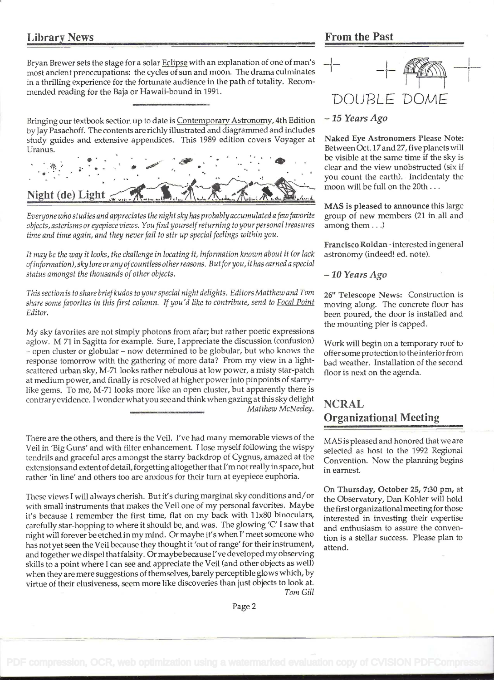#### Library News

#### From the Past

Bryan Brewer sets the stage for a solar Eclipse with an explanation of one of man's most ancient preoccupations: the cycles of sun and moon. The drama culminates in a thrilling experience for the fortunate audience in the path of totality. Recommended reading for the Baja or Hawaii-bound in 1991.

Bringing our textbook section up to date is Contemporary Astronomy, 4th Edition by Jay Pasachoff. The contents are richly illustrated and diagrammed and includes study guides and extensive appendices. This 1989 edition covers Voyager at Uranus.



Everyone who studies and appreciates the night sky has probablyaccumulated afew favorite objects, asterisms or eyepiece views. You find yourself returning to your personal treasures time and time again, and they never fail to stir up special feelings within you.

It may be the way it looks, the challenge in locating it, information known about it (or lack ofinformation), sky lore or anyofcountless other reasons. Butforyou, it has earned a special status amongst the thousands of other objects.

This section is to share briefkudos to your special night delights. Editors Matthew and Tom share some favorites in this first column. If you'd like to contribute, send to Focal Point Editor.

My sky favorites are not simply photons from afar; but rather poetic expressions aglow. M-71 in Sagitta for example. Sure, I appreciate the discussion (confusion) - open cluster or globular - now determined to be globular, but who knows the response tomorrow with the gathering of more data? From my view in a lightscattered urban sky, M-71 looks rather nebulous at low power, a misty star-patch at medium power, and finally is resolved at higher power into pinpoints of starrylike gems. To me, M-71 looks more like an open cluster, but apparently there is contrary evidence. I wonder what you see and think when gazing at this sky delight Matthew McNeeley.

There are the others, and there is the Veil. I've had many memorable views of the Veil in 'Big Guns' and with filter enhancement. I lose myself following the wispy tendrils and graceful arcs amongst the starry backdrop of Cygnus, amazed at the extensions and extent of detail, forgetting altogether that I'm not really in space, but rather 'in line' and others too are anxious for their turn at eyepiece euphoria.

These views I will always cherish. But it's during marginal sky conditions and/or with small instruments that makes the Veil one of my personal favorites. Maybe it's because I remember the first time, flat on my back with 11x80 binoculars, carefully star-hopping to where it should be, and was. The glowing 'C' I saw that night will forever be etched in my mind. Or maybe it's when I' meet someone who has not yet seen the Veil because they thought it 'out of range' for their instrument, and together we dispel that falsity. Or maybe because I've developed my observing skills to a point where I can see and appreciate the Veil (and other objects as well) when they are mere suggestions of themselves, barely perceptible glows which, by virtue of their elusiveness, seem more like discoveries than just objects to look at. Tom Gill

# $-1 - \underbrace{\textcolor{blue}{\textcolor{blue}{\textcolor{blue}{\textbf{(}}}}\textcolor{blue}{\textcolor{blue}{\textbf{(}}\textcolor{blue}{\textcolor{blue}{\textbf{(}}\textcolor{blue}{\textbf{(}}\textcolor{blue}{\textbf{(}}\textcolor{blue}{\textbf{(}}\textcolor{blue}{\textbf{(}}\textcolor{blue}{\textbf{(}}\textcolor{blue}{\textbf{(}}\textcolor{blue}{\textbf{(}}\textcolor{blue}{\textbf{(}}\textcolor{blue}{\textbf{(}}\textcolor{blue}{\textbf{(}}\textcolor{blue}{\textbf{(}}\textcolor{blue}{\textbf{(}}\textcolor{blue}{\textbf{(}}\textcolor{blue}{\textbf{(}}\text$  $-1 - \frac{\mu\alpha}{\prod_{i=1}^{n-1}(\alpha_i)} - 1$ DOUBLE DOME

#### - 15 Years Ago

Naked Eye Astronomers Please Note: Between Oct. l7and 27, five planets will be visible at the same time if the sky is clear and the view unobstructed (six if you count the earth). Incidentaly the moon will be full on the 20th ...

MAS is pleased to announce this large group of new members (21 in all and among them ...)

Francisco Roldan - interested in general astronomy (indeed! ed. note).

 $-10$  Years Ago

26" Telescope News: Construction is moving along. The concrete floor has been poured, the door is installed and the mounting pier is capped.

Work will begin on a temporary roof to offer some protection to the interior from bad weather. Installation of the second floor is next on the agenda.

## NCRAL Organizational Meeting

MAS is pleased and honored that we are selected as host to the 1992 Regional Convention. Now the planning begins in earnest.

On Thursday, October 25, 7:30 pm, at the Observatory, Dan Kohler will hold the first organizational meeting for those interested in investing their expertise and enthusiasm to assure the convention is a stellar success. Please plan to attend.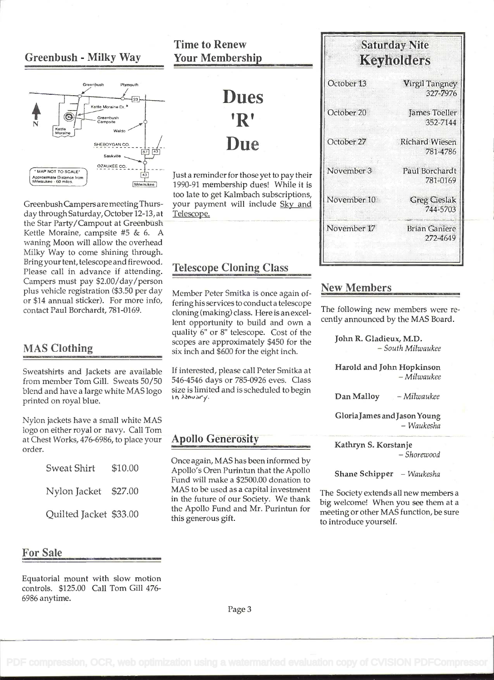#### Greenbush - Milky Way



GreenbushCampers are meeting Thursday through Saturday, October 12-13, at the Star Party/Campout at Greenbush Kettle Moraine, campsite #5 & 6. A waning Moon will allow the overhead Milky Way to come shining through. Bring your tent, telescope and firewood. Please call in advance if attending. Campers must pay \$2.00/day/person plus vehicle registration (\$3.50 per day or \$14 annual sticker). For more info, contact Paul Borchardt, 781-0169.

#### MAS Clothing

Sweatshirts and Jackets are available from member Tom Gill. Sweats 50/50 blend and have a large white MAS logo size is limit printed on royal blue.

Nylon jackets have a small white MAS logo on either royal or navy. Call Tom at Chest Works, 476-6986, to place your order.

| Sweat Shirt            | \$10.00 |
|------------------------|---------|
| Nylon Jacket \$27.00   |         |
| Quilted Jacket \$33.00 |         |

For Sale

Equatorial mount with slow motion controls. \$125.00 Call Tom Gill 476- 6986 anytime.

### Time to Renew Your Membership

# Dues 'R' Due

Just a reminder for those yet to pay their 1990-91 membership dues! While it is too late to get Kaimbach subscriptions, your payment will include Sky and Telescope.

#### Telescope Cloning Class

Member Peter Smitka is once again offering his services to conduct a telescope cloning (making) class. Here is an excellent opportunity to build and own a quality 6" or 8" telescope. Cost of the scopes are approximately \$450 for the six inch and \$600 for the eight inch.

If interested, please call Peter Smitka at 546-4546 days or 785-0926 eves. Class size is limited and is scheduled to begin

#### **Apollo Generosity**

Once again, MAS has been informed by Apollo's Oren Purintun that the Apollo Fund will make a \$2500.00 donation to MAS to be used as a capital investment in the future of our Society. We thank the Apollo Fund and Mr. Purintun for this generous gift.

| <b>DAULIS TANSELL</b><br>Keyholders |  |  |
|-------------------------------------|--|--|
| Virgil Tangney<br>327-7976          |  |  |
| James Toeller<br>352-7144           |  |  |
| <b>Richard Wiesen</b><br>781-4786   |  |  |
| Paul Borchardt<br>781-0169          |  |  |
| <b>Greg Cieslak</b><br>744-5703     |  |  |
| <b>Brian Ganiere</b><br>272-4649    |  |  |
|                                     |  |  |

Saturday Nite

#### New Members

The following new members were recently announced by the MAS Board.

John R. Gladieux, M.D.<br>- South Milwaukee

Harold and John Hopkinson<br>- Milwaukee

Dan Malloy - Milwaukee

Gloria James and Jason Young<br>Waukesha -

Kathryn S. Korstanje<br>- Shorewood -

Shane Schipper - Waukesha

The Society extends all new members a big welcome! When you see them at a meeting or other MAS function, be sure to introduce yourself.